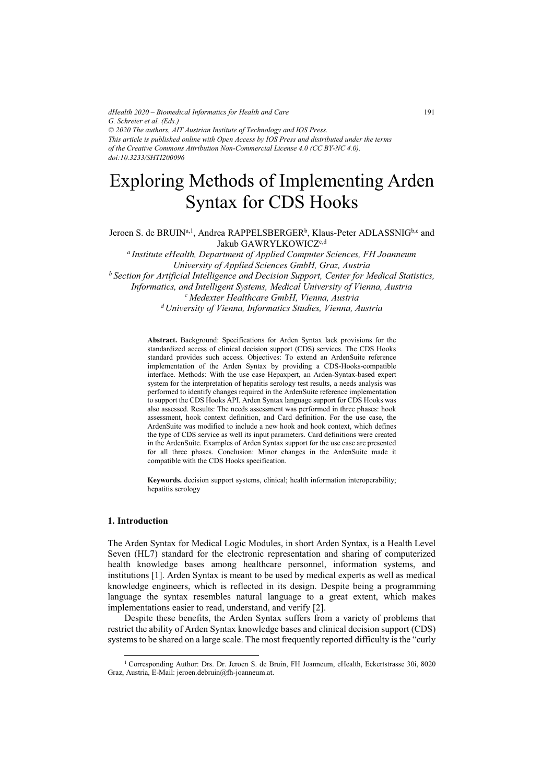*dHealth 2020 – Biomedical Informatics for Health and Care G. Schreier et al. (Eds.) © 2020 The authors, AIT Austrian Institute of Technology and IOS Press. This article is published online with Open Access by IOS Press and distributed under the terms of the Creative Commons Attribution Non-Commercial License 4.0 (CC BY-NC 4.0). doi:10.3233/SHTI200096*

# Exploring Methods of Implementing Arden Syntax for CDS Hooks

Jeroen S. de BRUIN<sup>a, 1</sup>, Andrea RAPPELSBERGER<sup>b</sup>, Klaus-Peter ADLASSNIG<sup>b,c</sup> and Jakub GAWRYLKOWICZ<sup>c,d</sup>

*a Institute eHealth, Department of Applied Computer Sciences, FH Joanneum University of Applied Sciences GmbH, Graz, Austria b Section for Artificial Intelligence and Decision Support, Center for Medical Statistics, Informatics, and Intelligent Systems, Medical University of Vienna, Austria c Medexter Healthcare GmbH, Vienna, Austria d University of Vienna, Informatics Studies, Vienna, Austria* 

> **Abstract.** Background: Specifications for Arden Syntax lack provisions for the standardized access of clinical decision support (CDS) services. The CDS Hooks standard provides such access. Objectives: To extend an ArdenSuite reference implementation of the Arden Syntax by providing a CDS-Hooks-compatible interface. Methods: With the use case Hepaxpert, an Arden-Syntax-based expert system for the interpretation of hepatitis serology test results, a needs analysis was performed to identify changes required in the ArdenSuite reference implementation to support the CDS Hooks API. Arden Syntax language support for CDS Hooks was also assessed. Results: The needs assessment was performed in three phases: hook assessment, hook context definition, and Card definition. For the use case, the ArdenSuite was modified to include a new hook and hook context, which defines the type of CDS service as well its input parameters. Card definitions were created in the ArdenSuite. Examples of Arden Syntax support for the use case are presented for all three phases. Conclusion: Minor changes in the ArdenSuite made it compatible with the CDS Hooks specification.

> **Keywords.** decision support systems, clinical; health information interoperability; hepatitis serology

## **1. Introduction**

j

The Arden Syntax for Medical Logic Modules, in short Arden Syntax, is a Health Level Seven (HL7) standard for the electronic representation and sharing of computerized health knowledge bases among healthcare personnel, information systems, and institutions [1]. Arden Syntax is meant to be used by medical experts as well as medical knowledge engineers, which is reflected in its design. Despite being a programming language the syntax resembles natural language to a great extent, which makes implementations easier to read, understand, and verify [2].

Despite these benefits, the Arden Syntax suffers from a variety of problems that restrict the ability of Arden Syntax knowledge bases and clinical decision support (CDS) systems to be shared on a large scale. The most frequently reported difficulty is the "curly

<sup>1</sup> Corresponding Author: Drs. Dr. Jeroen S. de Bruin, FH Joanneum, eHealth, Eckertstrasse 30i, 8020 Graz, Austria, E-Mail: jeroen.debruin@fh-joanneum.at.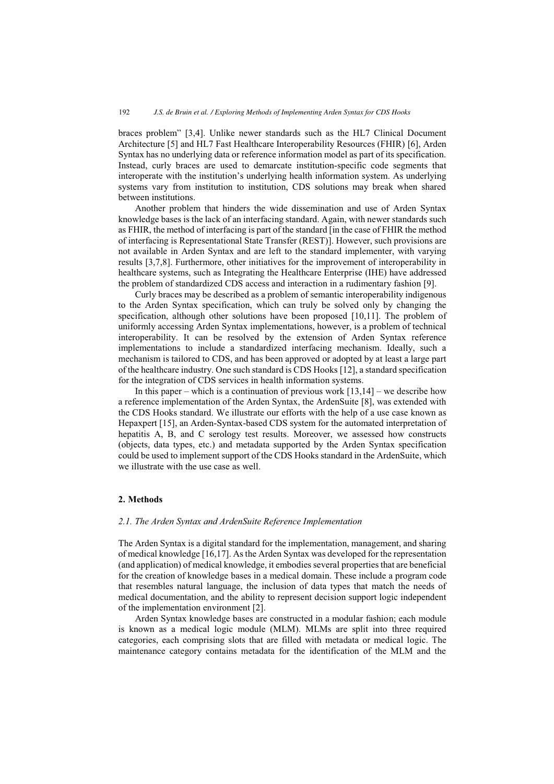braces problem" [3,4]. Unlike newer standards such as the HL7 Clinical Document Architecture [5] and HL7 Fast Healthcare Interoperability Resources (FHIR) [6], Arden Syntax has no underlying data or reference information model as part of its specification. Instead, curly braces are used to demarcate institution-specific code segments that interoperate with the institution's underlying health information system. As underlying systems vary from institution to institution, CDS solutions may break when shared between institutions.

Another problem that hinders the wide dissemination and use of Arden Syntax knowledge bases is the lack of an interfacing standard. Again, with newer standards such as FHIR, the method of interfacing is part of the standard [in the case of FHIR the method of interfacing is Representational State Transfer (REST)]. However, such provisions are not available in Arden Syntax and are left to the standard implementer, with varying results [3,7,8]. Furthermore, other initiatives for the improvement of interoperability in healthcare systems, such as Integrating the Healthcare Enterprise (IHE) have addressed the problem of standardized CDS access and interaction in a rudimentary fashion [9].

Curly braces may be described as a problem of semantic interoperability indigenous to the Arden Syntax specification, which can truly be solved only by changing the specification, although other solutions have been proposed [10,11]. The problem of uniformly accessing Arden Syntax implementations, however, is a problem of technical interoperability. It can be resolved by the extension of Arden Syntax reference implementations to include a standardized interfacing mechanism. Ideally, such a mechanism is tailored to CDS, and has been approved or adopted by at least a large part of the healthcare industry. One such standard is CDS Hooks [12], a standard specification for the integration of CDS services in health information systems.

In this paper – which is a continuation of previous work  $[13,14]$  – we describe how a reference implementation of the Arden Syntax, the ArdenSuite [8], was extended with the CDS Hooks standard. We illustrate our efforts with the help of a use case known as Hepaxpert [15], an Arden-Syntax-based CDS system for the automated interpretation of hepatitis A, B, and C serology test results. Moreover, we assessed how constructs (objects, data types, etc.) and metadata supported by the Arden Syntax specification could be used to implement support of the CDS Hooks standard in the ArdenSuite, which we illustrate with the use case as well.

## **2. Methods**

## *2.1. The Arden Syntax and ArdenSuite Reference Implementation*

The Arden Syntax is a digital standard for the implementation, management, and sharing of medical knowledge [16,17]. As the Arden Syntax was developed for the representation (and application) of medical knowledge, it embodies several properties that are beneficial for the creation of knowledge bases in a medical domain. These include a program code that resembles natural language, the inclusion of data types that match the needs of medical documentation, and the ability to represent decision support logic independent of the implementation environment [2].

Arden Syntax knowledge bases are constructed in a modular fashion; each module is known as a medical logic module (MLM). MLMs are split into three required categories, each comprising slots that are filled with metadata or medical logic. The maintenance category contains metadata for the identification of the MLM and the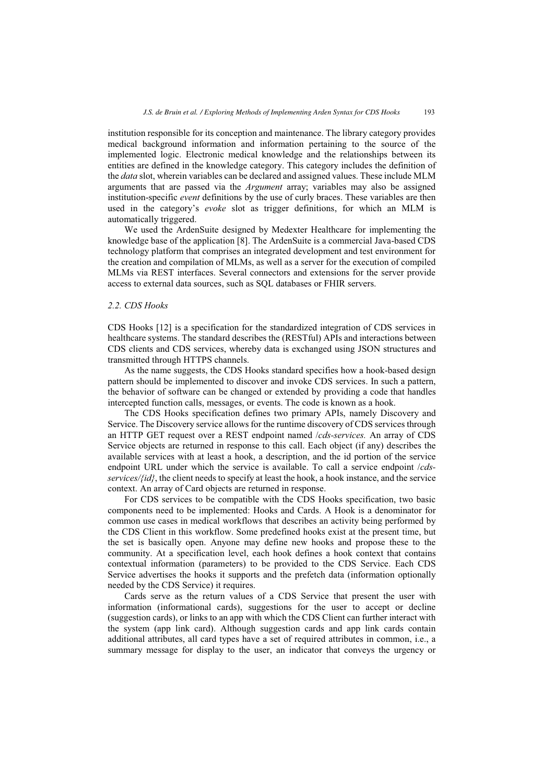institution responsible for its conception and maintenance. The library category provides medical background information and information pertaining to the source of the implemented logic. Electronic medical knowledge and the relationships between its entities are defined in the knowledge category. This category includes the definition of the *data* slot, wherein variables can be declared and assigned values. These include MLM arguments that are passed via the *Argument* array; variables may also be assigned institution-specific *event* definitions by the use of curly braces. These variables are then used in the category's *evoke* slot as trigger definitions, for which an MLM is automatically triggered.

We used the ArdenSuite designed by Medexter Healthcare for implementing the knowledge base of the application [8]. The ArdenSuite is a commercial Java-based CDS technology platform that comprises an integrated development and test environment for the creation and compilation of MLMs, as well as a server for the execution of compiled MLMs via REST interfaces. Several connectors and extensions for the server provide access to external data sources, such as SQL databases or FHIR servers.

## *2.2. CDS Hooks*

CDS Hooks [12] is a specification for the standardized integration of CDS services in healthcare systems. The standard describes the (RESTful) APIs and interactions between CDS clients and CDS services, whereby data is exchanged using JSON structures and transmitted through HTTPS channels.

As the name suggests, the CDS Hooks standard specifies how a hook-based design pattern should be implemented to discover and invoke CDS services. In such a pattern, the behavior of software can be changed or extended by providing a code that handles intercepted function calls, messages, or events. The code is known as a hook.

The CDS Hooks specification defines two primary APIs, namely Discovery and Service. The Discovery service allows for the runtime discovery of CDS services through an HTTP GET request over a REST endpoint named /*cds-services.* An array of CDS Service objects are returned in response to this call. Each object (if any) describes the available services with at least a hook, a description, and the id portion of the service endpoint URL under which the service is available. To call a service endpoint /*cdsservices/{id}*, the client needs to specify at least the hook, a hook instance, and the service context. An array of Card objects are returned in response.

For CDS services to be compatible with the CDS Hooks specification, two basic components need to be implemented: Hooks and Cards. A Hook is a denominator for common use cases in medical workflows that describes an activity being performed by the CDS Client in this workflow. Some predefined hooks exist at the present time, but the set is basically open. Anyone may define new hooks and propose these to the community. At a specification level, each hook defines a hook context that contains contextual information (parameters) to be provided to the CDS Service. Each CDS Service advertises the hooks it supports and the prefetch data (information optionally needed by the CDS Service) it requires.

Cards serve as the return values of a CDS Service that present the user with information (informational cards), suggestions for the user to accept or decline (suggestion cards), or links to an app with which the CDS Client can further interact with the system (app link card). Although suggestion cards and app link cards contain additional attributes, all card types have a set of required attributes in common, i.e., a summary message for display to the user, an indicator that conveys the urgency or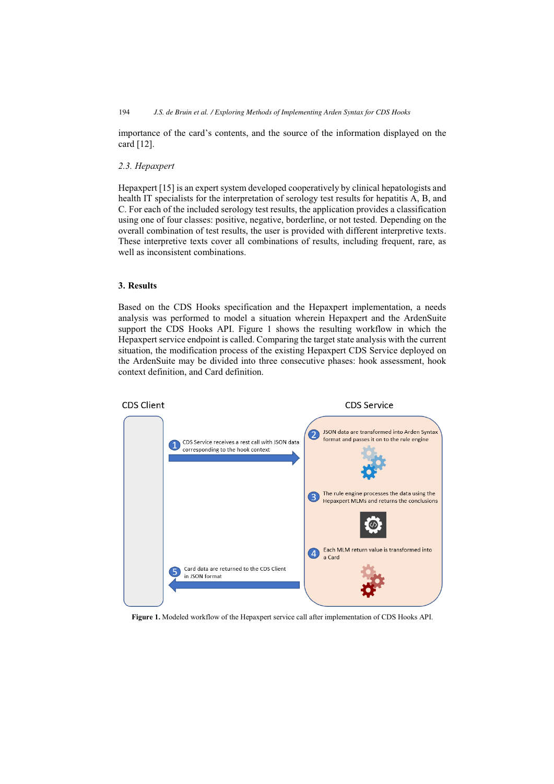importance of the card's contents, and the source of the information displayed on the card [12].

# *2.3. Hepaxpert*

Hepaxpert [15] is an expert system developed cooperatively by clinical hepatologists and health IT specialists for the interpretation of serology test results for hepatitis A, B, and C. For each of the included serology test results, the application provides a classification using one of four classes: positive, negative, borderline, or not tested. Depending on the overall combination of test results, the user is provided with different interpretive texts. These interpretive texts cover all combinations of results, including frequent, rare, as well as inconsistent combinations.

# **3. Results**

Based on the CDS Hooks specification and the Hepaxpert implementation, a needs analysis was performed to model a situation wherein Hepaxpert and the ArdenSuite support the CDS Hooks API. Figure 1 shows the resulting workflow in which the Hepaxpert service endpoint is called. Comparing the target state analysis with the current situation, the modification process of the existing Hepaxpert CDS Service deployed on the ArdenSuite may be divided into three consecutive phases: hook assessment, hook context definition, and Card definition.



**Figure 1.** Modeled workflow of the Hepaxpert service call after implementation of CDS Hooks API.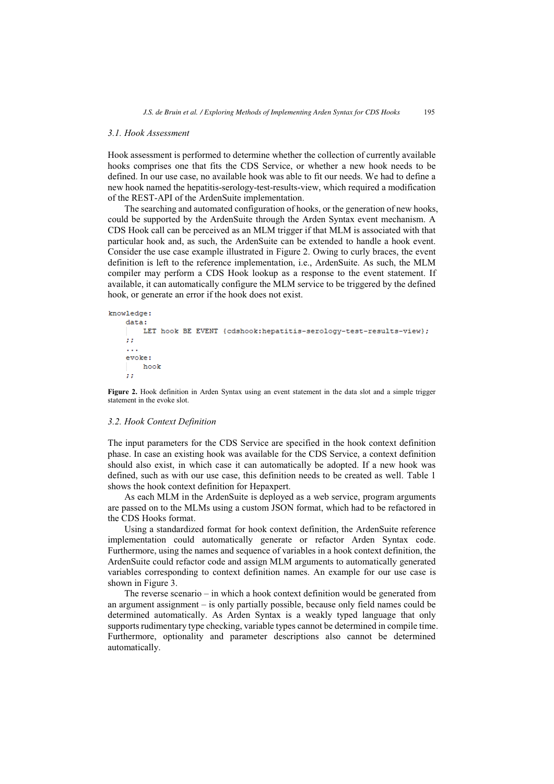### *3.1. Hook Assessment*

Hook assessment is performed to determine whether the collection of currently available hooks comprises one that fits the CDS Service, or whether a new hook needs to be defined. In our use case, no available hook was able to fit our needs. We had to define a new hook named the hepatitis-serology-test-results-view, which required a modification of the REST-API of the ArdenSuite implementation.

The searching and automated configuration of hooks, or the generation of new hooks, could be supported by the ArdenSuite through the Arden Syntax event mechanism. A CDS Hook call can be perceived as an MLM trigger if that MLM is associated with that particular hook and, as such, the ArdenSuite can be extended to handle a hook event. Consider the use case example illustrated in Figure 2. Owing to curly braces, the event definition is left to the reference implementation, i.e., ArdenSuite. As such, the MLM compiler may perform a CDS Hook lookup as a response to the event statement. If available, it can automatically configure the MLM service to be triggered by the defined hook, or generate an error if the hook does not exist.

```
knowledge:
    data:LET hook BE EVENT { cdshook: hepatitis-serology-test-results-view};
    \mathcal{L}\sim \simevoke:
         hook
    77
```
**Figure 2.** Hook definition in Arden Syntax using an event statement in the data slot and a simple trigger statement in the evoke slot.

## *3.2. Hook Context Definition*

The input parameters for the CDS Service are specified in the hook context definition phase. In case an existing hook was available for the CDS Service, a context definition should also exist, in which case it can automatically be adopted. If a new hook was defined, such as with our use case, this definition needs to be created as well. Table 1 shows the hook context definition for Hepaxpert.

As each MLM in the ArdenSuite is deployed as a web service, program arguments are passed on to the MLMs using a custom JSON format, which had to be refactored in the CDS Hooks format.

Using a standardized format for hook context definition, the ArdenSuite reference implementation could automatically generate or refactor Arden Syntax code. Furthermore, using the names and sequence of variables in a hook context definition, the ArdenSuite could refactor code and assign MLM arguments to automatically generated variables corresponding to context definition names. An example for our use case is shown in Figure 3.

The reverse scenario – in which a hook context definition would be generated from an argument assignment – is only partially possible, because only field names could be determined automatically. As Arden Syntax is a weakly typed language that only supports rudimentary type checking, variable types cannot be determined in compile time. Furthermore, optionality and parameter descriptions also cannot be determined automatically.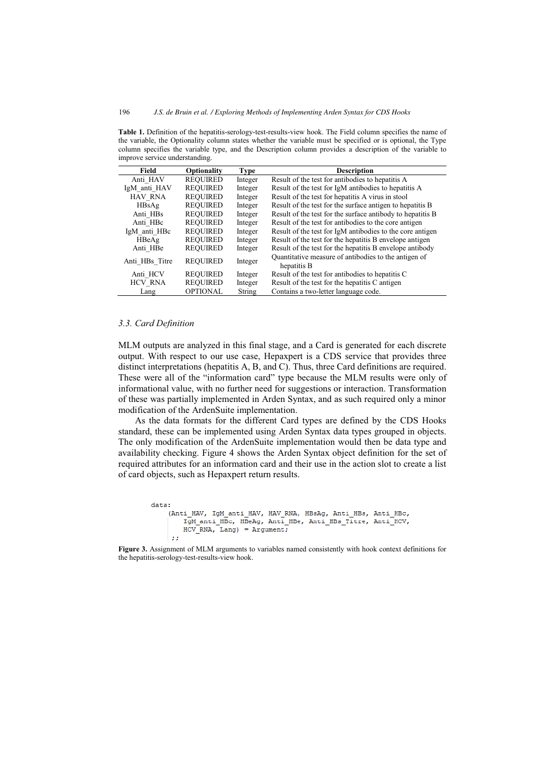| $\mu$ and $\mu$ or $\mu$ and $\mu$ and $\mu$ and $\mu$ and $\mu$ |                 |             |                                                                     |
|------------------------------------------------------------------|-----------------|-------------|---------------------------------------------------------------------|
| Field                                                            | Optionality     | <b>Type</b> | <b>Description</b>                                                  |
| Anti HAV                                                         | <b>REQUIRED</b> | Integer     | Result of the test for antibodies to hepatitis A                    |
| IgM anti HAV                                                     | <b>REQUIRED</b> | Integer     | Result of the test for IgM antibodies to hepatitis A                |
| <b>HAV RNA</b>                                                   | <b>REQUIRED</b> | Integer     | Result of the test for hepatitis A virus in stool                   |
| HBsAg                                                            | <b>REQUIRED</b> | Integer     | Result of the test for the surface antigen to hepatitis B           |
| Anti HBs                                                         | <b>REQUIRED</b> | Integer     | Result of the test for the surface antibody to hepatitis B          |
| Anti HBc                                                         | <b>REOUIRED</b> | Integer     | Result of the test for antibodies to the core antigen               |
| IgM anti HBc                                                     | <b>REQUIRED</b> | Integer     | Result of the test for IgM antibodies to the core antigen           |
| HBeAg                                                            | <b>REQUIRED</b> | Integer     | Result of the test for the hepatitis B envelope antigen             |
| Anti HBe                                                         | <b>REQUIRED</b> | Integer     | Result of the test for the hepatitis B envelope antibody            |
| Anti HBs Titre                                                   | <b>REQUIRED</b> | Integer     | Quantitative measure of antibodies to the antigen of<br>hepatitis B |
| Anti HCV                                                         | <b>REQUIRED</b> | Integer     | Result of the test for antibodies to hepatitis C                    |
| <b>HCV RNA</b>                                                   | <b>REQUIRED</b> | Integer     | Result of the test for the hepatitis C antigen                      |
| Lang                                                             | <b>OPTIONAL</b> | String      | Contains a two-letter language code.                                |

**Table 1.** Definition of the hepatitis-serology-test-results-view hook. The Field column specifies the name of the variable, the Optionality column states whether the variable must be specified or is optional, the Type column specifies the variable type, and the Description column provides a description of the variable to improve service understanding.

#### *3.3. Card Definition*

MLM outputs are analyzed in this final stage, and a Card is generated for each discrete output. With respect to our use case, Hepaxpert is a CDS service that provides three distinct interpretations (hepatitis A, B, and C). Thus, three Card definitions are required. These were all of the "information card" type because the MLM results were only of informational value, with no further need for suggestions or interaction. Transformation of these was partially implemented in Arden Syntax, and as such required only a minor modification of the ArdenSuite implementation.

As the data formats for the different Card types are defined by the CDS Hooks standard, these can be implemented using Arden Syntax data types grouped in objects. The only modification of the ArdenSuite implementation would then be data type and availability checking. Figure 4 shows the Arden Syntax object definition for the set of required attributes for an information card and their use in the action slot to create a list of card objects, such as Hepaxpert return results.

```
data:(Anti HAV, IqM anti HAV, HAV RNA, HBsAq, Anti HBs, Anti HBc,
       IgM anti HBc, HBeAg, Anti HBe, Anti HBs Titre, Anti HCV,
       HCV RNA, Lang) = Argument;
     a a
```

```
Figure 3. Assignment of MLM arguments to variables named consistently with hook context definitions for 
the hepatitis-serology-test-results-view hook.
```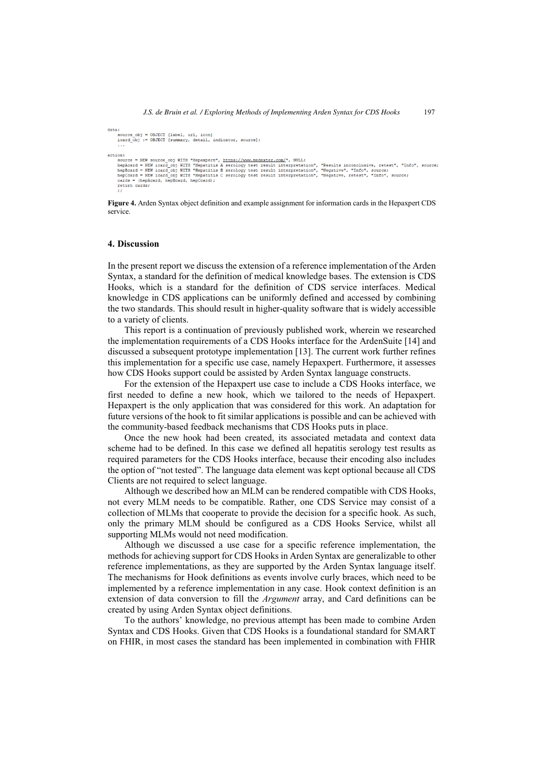```
data:
     ..<br>source_obj = OBJECT [label, url, icon]<br>icard obj := OBJECT [summary, detail, indicator, source];
     action:
     ....<br>source = NFW source obi WITH "Henaxnert", https://www.medexter.com/", NULL:
     soutce = ans source_ony atin "Reparator, nimist/imministations", autor , "Results inconclusive, retest", "Info", source;<br>hephcard = NEW icard_obj WITH "Reparitis B serology test result interpretation", "Results inconclusiv
     cards =(hepAcard, hepBcard, hepCcard);
     raturn carder
```
**Figure 4.** Arden Syntax object definition and example assignment for information cards in the Hepaxpert CDS service.

#### **4. Discussion**

In the present report we discuss the extension of a reference implementation of the Arden Syntax, a standard for the definition of medical knowledge bases. The extension is CDS Hooks, which is a standard for the definition of CDS service interfaces. Medical knowledge in CDS applications can be uniformly defined and accessed by combining the two standards. This should result in higher-quality software that is widely accessible to a variety of clients.

This report is a continuation of previously published work, wherein we researched the implementation requirements of a CDS Hooks interface for the ArdenSuite [14] and discussed a subsequent prototype implementation [13]. The current work further refines this implementation for a specific use case, namely Hepaxpert. Furthermore, it assesses how CDS Hooks support could be assisted by Arden Syntax language constructs.

For the extension of the Hepaxpert use case to include a CDS Hooks interface, we first needed to define a new hook, which we tailored to the needs of Hepaxpert. Hepaxpert is the only application that was considered for this work. An adaptation for future versions of the hook to fit similar applications is possible and can be achieved with the community-based feedback mechanisms that CDS Hooks puts in place.

Once the new hook had been created, its associated metadata and context data scheme had to be defined. In this case we defined all hepatitis serology test results as required parameters for the CDS Hooks interface, because their encoding also includes the option of "not tested". The language data element was kept optional because all CDS Clients are not required to select language.

Although we described how an MLM can be rendered compatible with CDS Hooks, not every MLM needs to be compatible. Rather, one CDS Service may consist of a collection of MLMs that cooperate to provide the decision for a specific hook. As such, only the primary MLM should be configured as a CDS Hooks Service, whilst all supporting MLMs would not need modification.

Although we discussed a use case for a specific reference implementation, the methods for achieving support for CDS Hooks in Arden Syntax are generalizable to other reference implementations, as they are supported by the Arden Syntax language itself. The mechanisms for Hook definitions as events involve curly braces, which need to be implemented by a reference implementation in any case. Hook context definition is an extension of data conversion to fill the *Argument* array, and Card definitions can be created by using Arden Syntax object definitions.

To the authors' knowledge, no previous attempt has been made to combine Arden Syntax and CDS Hooks. Given that CDS Hooks is a foundational standard for SMART on FHIR, in most cases the standard has been implemented in combination with FHIR